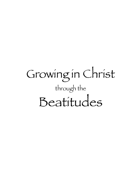# Growing in Christ through the Beatitudes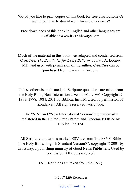Would you like to print copies of this book for free distribution? Or would you like to download it for use on devices?

Free downloads of this book in English and other languages are available at **www.learnhisways.com** 

Much of the material in this book was adapted and condensed from *CrossTies: The Beatitudes for Every Believer* by Paul A. Looney, MD, and used with permission of the author. *CrossTies* can be purchased from www.amazon.com.

Unless otherwise indicated, all Scripture quotations are taken from the Holy Bible, New International Version®, NIV®. Copyright © 1973, 1978, 1984, 2011 by Biblica, Inc.TM Used by permission of Zondervan. All rights reserved worldwide.

The "NIV" and "New International Version" are trademarks registered in the United States Patent and Trademark Office by Biblica, Inc.TM

All Scripture quotations marked ESV are from The ESV® Bible (The Holy Bible, English Standard Version®), copyright © 2001 by Crossway, a publishing ministry of Good News Publishers. Used by permission. All rights reserved.

(All Beatitudes are taken from the ESV)

© 2017 Life Resources

2 [Table of Contents](#page-3-0)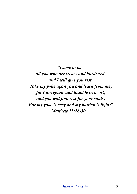*"Come to me, all you who are weary and burdened, and I will give you rest. Take my yoke upon you and learn from me, for I am gentle and humble in heart, and you will find rest for your souls. For my yoke is easy and my burden is light." Matthew 11:28-30*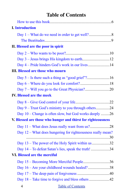# <span id="page-3-0"></span>**Table of Contents**

| <b>I.</b> Introduction |                                                              |  |
|------------------------|--------------------------------------------------------------|--|
|                        |                                                              |  |
|                        |                                                              |  |
|                        | II. Blessed are the poor in spirit                           |  |
|                        |                                                              |  |
|                        |                                                              |  |
|                        |                                                              |  |
|                        | <b>III. Blessed are those who mourn</b>                      |  |
|                        |                                                              |  |
|                        |                                                              |  |
|                        |                                                              |  |
|                        | <b>IV. Blessed are the meek</b>                              |  |
|                        |                                                              |  |
|                        | Day 9 – Trust God's ministry to you through others24         |  |
|                        | Day 10 – Change is often slow, but God works deeply 26       |  |
|                        | V. Blessed are those who hunger and thirst for righteousness |  |
|                        |                                                              |  |
|                        | Day 12 – What does hungering for righteousness really mean?  |  |
|                        | Day 13 – The power of the Holy Spirit within us 32           |  |
|                        | Day 14 – To defeat Satan's lies, speak the truth! 34         |  |
|                        | VI. Blessed are the merciful                                 |  |
|                        | Day 15 – Becoming More Merciful People36                     |  |
|                        | Day 16 - Are your childhood wounds healed?38                 |  |
|                        |                                                              |  |
|                        |                                                              |  |
| $\overline{4}$         | <b>Table of Contents</b>                                     |  |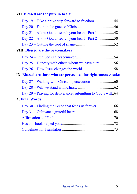## **[VII. Blessed are the pure in heart](#page-43-0)**

| <b>VIII. Blessed are the peacemakers</b>                        |  |
|-----------------------------------------------------------------|--|
|                                                                 |  |
| Day 25 – Honesty with others whom we have hurt56                |  |
|                                                                 |  |
| IX. Blessed are those who are persecuted for righteousness sake |  |
|                                                                 |  |
|                                                                 |  |
| Day 29 – Praying for deliverance; submitting to God's will64    |  |
| <b>X. Final Words</b>                                           |  |
|                                                                 |  |
|                                                                 |  |
|                                                                 |  |
|                                                                 |  |
|                                                                 |  |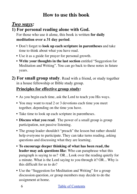# <span id="page-5-0"></span>**How to use this book**

# *Two ways:*

## **1) For personal reading alone with God.**

For those who use it alone, this book is written **for daily meditation over a 31 day period**.

- Don't forget to **look up each scripture in parentheses** and take time to think about what you have read.
- Use it as a guide for prayer for personal growth.
- **Write your thoughts in the last section** entitled "Suggestion for Meditation and Writing". You can go back to these notes in future years.
- **2) For small group study**. Read with a friend, or study together in a house fellowship or Bible study group.

## **Principles for effective group study:**

- As you begin each time, ask the Lord to teach you His ways.
- You may want to read 2 or 3 devotions each time you meet together, depending on the time you have.
- Take time to look up each scripture in parentheses.
- **Discuss what you read**. The power of a small group is group participation, not passive listening.
- The group leader shouldn't "preach" the lesson but rather should help everyone to participate. They can take turns reading, asking questions and discussing what they are learning.
- **To encourage deeper thinking of what has been read, the leader may ask questions like**: Who can paraphrase what this paragraph is saying to us? OR... Look over the reading quietly for a minute. What is the Lord saying to you through it? OR... Why is this difficult for us to do?
- Use the "Suggestion for Meditation and Writing" for a group discussion question, or group members may decide to do the assignment at home.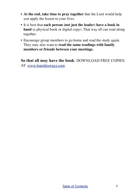- **At the end, take time to pray together** that the Lord would help you apply the lesson to your lives.
- It is best that **each person (not just the leader) have a book in**  hand (a physical book or digital copy). That way all can read along together.
- Encourage group members to go home and read the study again. They may also want to **read the same readings with family members or friends between your meetings.**

**So that all may have the book**: DOWNLOAD FREE COPIES AT: [www.learnhisways.com](http://www.learnhisways.com)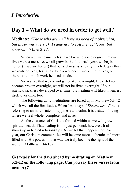# <span id="page-7-1"></span><span id="page-7-0"></span>**Day 1 – What do we need in order to get well?**

**Meditate:** *"Those who are well have no need of a physician, but those who are sick. I came not to call the righteous, but sinners." (Mark 2:17)*

When we first came to Jesus we knew to some degree that our lives were a mess. As we all grow in the faith each year, we begin to notice (if we are honest) that our sickness is actually much deeper than we realized. Yes, Jesus has done a wonderful work in our lives, but there is still much work he needs to do.

We realize that we did not get broken overnight. If we did not become broken overnight, we will not be fixed overnight. If our spiritual sickness developed over time, our healing will likely manifest itself over time, too.

The following daily meditations are based upon Matthew 5:3-12 which we call the Beatitudes. When Jesus says, *"Blessed are…"* he is referring to an inner state of happiness and calm. It is a state of being where we feel whole, complete, and at rest.

As the character of Christ is formed within us we will grow in spiritual health. That healing is not just personal, however. It also shows up in healed relationships. As we let that happen more each year, our Christian communities will become more authentic and more filled with His power. In that way we truly become the light of the world. (Matthew 5:14-16)

## **Get ready for the days ahead by meditating on Matthew 5:2-12 on the following page. Can you say these verses from memory?**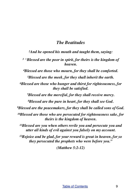#### <span id="page-8-0"></span>*The Beatitudes*

*2And he opened his mouth and taught them, saying:*

*<sup>3</sup> "Blessed are the poor in spirit, for theirs is the kingdom of heaven.*

*4Blessed are those who mourn, for they shall be comforted.*

*5Blessed are the meek, for they shall inherit the earth.*

*6Blessed are those who hunger and thirst for righteousness, for they shall be satisfied.*

*7Blessed are the merciful, for they shall receive mercy.*

*8Blessed are the pure in heart, for they shall see God.*

*9Blessed are the peacemakers, for they shall be called sons of God.*

*10Blessed are those who are persecuted for righteousness sake, for theirs is the kingdom of heaven.*

*11Blessed are you when others revile you and persecute you and utter all kinds of evil against you falsely on my account.* 

*12Rejoice and be glad, for your reward is great in heaven, for so they persecuted the prophets who were before you."* 

*(Matthew 5:2-12)*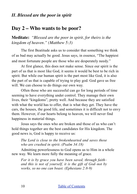## <span id="page-9-0"></span>*II. Blessed are the poor in spirit*

## <span id="page-9-1"></span>**Day 2 – Who wants to be poor?**

**Meditate:** *"Blessed are the poor in spirit, for theirs is the kingdom of heaven." (Matthew 5:3)*

The first Beatitude asks us to consider that something we think of as bad may actually be good. Jesus says, in essence, "The happiest and most fortunate people are those who are desperately needy."

At first glance, this does not make sense. Since our spirit is the part of us that is most like God, it seems it would be best to be rich in spirit. But while our human spirit is the part most like God, it is also the part of us that is capable of trying to play god. God gave us free will. We can choose to do things our own way.

Often those who are successful can go for long periods of time seeming to have everything under control. They manage their own lives, their "kingdoms", pretty well. And because they are satisfied with what the world has to offer, that is what they get. They have the cars, the houses, the good life, and sometimes it is difficult not to envy them. However, if our hearts belong to heaven, we will never find happiness in material things.

Jesus says the ones who are broken and those of us who can't hold things together are the best candidates for His kingdom. The good news is, God is happy to receive us:

#### *The Lord is close to the brokenhearted and saves those who are crushed in spirit. (Psalm 34:18)*

Admitting powerlessness to God opens us to Him in a whole new way. We learn more fully the meaning of grace.

*For it is by grace you have been saved, through faith*– *and this is not of yourself, it is the gift of God*–*not by works, so no one can boast. (Ephesians 2:8-9)*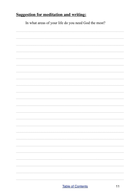In what areas of your life do you need God the most?

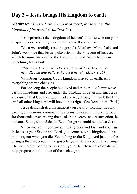# <span id="page-11-0"></span>**Day 3 – Jesus brings His kingdom to earth**

**Meditate:** *"Blessed are the poor in spirit, for theirs is the kingdom of heaven."* (*Matthew 5:3)*

Jesus promises the "kingdom of heaven" to those who are poor in spirit. Does he simply mean that they will go to heaven?

When we carefully read the gospels (Matthew, Mark, Luke and John), we notice that Jesus spoke often of the kingdom of heaven, which he sometimes called the kingdom of God. When he began preaching, Jesus said:

*"The time has come. The kingdom of God has come near. Repent and believe the good news!" (Mark 1:15)*

With Jesus' coming, God's kingdom arrived on earth. And everything started changing!

For too long the people had lived under the rule of oppressive earthly kingdoms and also under the bondage of Satan and sin. Jesus announced that God's kingdom had arrived, through himself, the King. And all other kingdoms will bow to his reign. (See Revelation 17:14.)

Jesus demonstrated his authority on earth by healing the sick, casting out demons, commanding storms to cease, multiplying food for thousands, even raising the dead. At the cross and resurrection, he defeated Satan, sin and death. Even the grave could not defeat Jesus.

When you admit you are spiritually poor and lost, and you trust in Jesus as your Savior and Lord, you come into his kingdom at that moment, not when you die. You belong to the King! And just like the changes that happened in the gospels, your life also begins to change! The Holy Spirit begins to transform your life. These devotionals will help prepare you for some of those changes.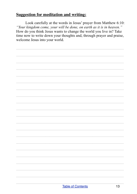Look carefully at the words in Jesus' prayer from Matthew 6:10: "Your kingdom come, your will be done, on earth as it is in heaven." How do you think Jesus wants to change the world you live in? Take time now to write down your thoughts and, through prayer and praise, welcome Jesus into your world.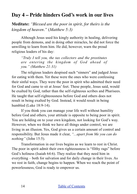# <span id="page-13-0"></span>**Day 4 – Pride hinders God's work in our lives**

**Meditate:** *"Blessed are the poor in spirit, for theirs is the kingdom of heaven."* (*Matthew 5:3)*

Although Jesus used his kingly authority in healing, delivering people from demons, and in doing other miracles, he did not force the unwilling to learn from him. He did, however, warn the proud religious leaders of his day:

*"Truly I tell you, the tax collectors and the prostitutes are entering the kingdom of God ahead of you." (Matthew 21:31)*

The religious leaders despised such "sinners" and judged Jesus for eating with them. Yet these were the ones who were confessing their sinful ways. They were the poor in spirit who admitted their need for God and came to sit at Jesus' feet. These people, Jesus said, would be exalted by God, rather than the self-righteous scribes and Pharisees. He taught that self-righteousness before God and others does not result in being exalted by God. Instead, it would result in being humbled (Luke 18:9-14).

If you think you can manage your life well without humility before God and others, your attitude is opposite to being poor in spirit. You are holding on to your own kingdom, not looking for God's way. However, when we think we have all things under control, we are living in an illusion. Yes, God gives us a certain amount of control and responsibility. But Jesus made it clear, *"...apart from Me you can do nothing"* (John 15:5).

Transformation in our lives begins as we learn to rest in Christ. The poor in spirit admit their own righteousness is "filthy rags" before God's holiness (Isaiah 64:6). They realize that they need him in everything – both for salvation and for daily change in their lives. As we rest in faith, change begins to happen. When we reach the point of powerlessness, God is ready to empower us.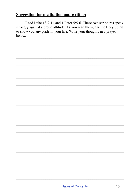Read Luke 18:9-14 and 1 Peter 5:5-6. These two scriptures speak strongly against a proud attitude. As you read them, ask the Holy Spirit to show you any pride in your life. Write your thoughts in a prayer helow

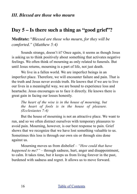# <span id="page-15-1"></span><span id="page-15-0"></span>**Day 5 – Is there such a thing as "good grief"?**

**Meditate:** "*Blessed are those who mourn, for they will be comforted."* (*Matthew 5:4)*

Sounds strange, doesn't it? Once again, it seems as though Jesus is asking us to think positively about something that activates negative feelings. We often think of mourning as only related to funerals. But until Jesus returns, mourning is a part of life, not just death.

We live in a fallen world. We are imperfect beings in an imperfect place. Therefore, we will encounter failure and pain. That is the truth and Jesus never avoids truth. He knows that if we are to live our lives in a meaningful way, we are bound to experience loss and heartache. Jesus encourages us to face it directly. He knows there is great gain in facing our losses honestly.

*The heart of the wise is in the house of mourning, but the heart of fools is in the house of pleasure. (Ecclesiastes 7:4)*

But the house of mourning is not an attractive place. We want to run, and so we often distract ourselves with temporary pleasures to avoid pain. Mourning, however, is our best response to pain. Grief shows that we recognize that we have lost something valuable to us. Sometimes this loss is through our own sin or through sins done against us.

Mourning moves us from disbelief – *"How could that have happened to me?"* – through sadness, hurt, anger and disappointment, to calm. It takes time, but it keeps us from living forever in the past, burdened with sadness and regret. It allows us to move forward.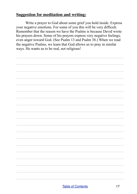Write a prayer to God about some grief you hold inside. Express your negative emotions. For some of you this will be very difficult. Remember that the reason we have the Psalms is because David wrote his prayers down. Some of his prayers express very negative feelings, even anger toward God. (See Psalm 13 and Psalm 38.) When we read the negative Psalms, we learn that God allows us to pray in similar ways. He wants us to be real, not religious!

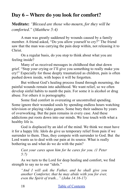# <span id="page-17-0"></span>**Day 6 – Where do you look for comfort?**

**Meditate:** *"Blessed are those who mourn, for they will be comforted."* (*Matthew 5:4)*

A man was greatly saddened by wounds caused by a family member. A friend asked, "Do you allow yourself to cry?" The friend saw that the man was carrying the pain deep within, not releasing it to Christ.

On a regular basis, do you stop to think about what you are feeling inside?

Many of us received messages in childhood that shut down grief. "Stop your crying or I'll give you something to really make you cry!" Especially for those deeply traumatized as children, pain is often pushed down inside, with hopes it will be forgotten.

But without God's healing process found through mourning, the painful wounds remain into adulthood. We want relief, so we often develop sinful habits to numb the pain. For some it is alcohol or drug abuse. For others it is pornography.

Some find comfort in overeating or uncontrolled spending. Some ignore their wounded souls by spending endless hours watching television or playing video games. Some bury their sadness by years of overworking. But the pain remains in every case. And these addictions put roots down into our minds. We lose touch with what a healthy life is.

God is displaced by an idol of the mind. We think we must have it for a happy life. Idols do give us temporary relief from pain if we surrender to them. Thus, they compete with surrender to God. But the Lord wants us to deal with our pain at its source. What is really bothering us and what do we do with the pain?

*Cast your cares upon him for he cares for you. (1 Peter 5:7)*

As we turn to the Lord for deep healing and comfort, we find strength to say no to our "idols."

*"And I will ask the Father, and he shall give you another Comforter, that he may abide with you for ever, even the Spirit of truth..." (John 14:16-17)*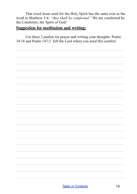That word Jesus used for the Holy Spirit has the same root as the word in Matthew 5:4: "they shall be comforted." We are comforted by the Comforter, the Spirit of God!

#### **Suggestion for meditation and writing:**

Use these 2 psalms for prayer and writing your thoughts: Psalm 34:18 and Psalm 147:3. Tell the Lord where you need His comfort.

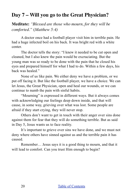# <span id="page-19-0"></span>**Day 7 – Will you go to the Great Physician?**

**Meditate:** *"Blessed are those who mourn, for they will be comforted."* (*Matthew 5:4)*

A doctor once had a football player visit him in terrible pain. He had a huge infected boil on his back. It was bright red with a white center.

The doctor tells the story: "I knew it needed to be cut open and cleaned, but I also knew the pain would be excruciating. But the young man was so ready to be done with the pain that he closed his eyes and prepared himself for what I had to do. Within a few days, his back was healed."

None of us like pain. We either deny we have a problem, or we put off facing it. But like the football player, we have a choice. We can let Jesus, the Great Physician, open and heal our wounds, or we can continue to numb the pain with sinful habits.

"Mourning" is expressed in different ways. But it always comes with acknowledging our feelings deep down inside, and that will cause, in some way, grieving over what was lost. Some people are afraid if they start crying, they will never stop.

Others don't want to get in touch with their anger over sins done against them for fear that they will do something terrible. But as said in Day 5, Jesus wants us to face reality.

It's important to grieve over sins we have done, and we must not deny where others have sinned against us and the terrible pain it has caused.

Remember… Jesus says it is a good thing to mourn, and that it will lead to comfort. Can you trust Him enough to begin?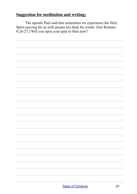The apostle Paul said that sometimes we experience the Holy Spirit praying for us with groans too deep for words. (See Romans  $8:26-27$ .) Will you open your pain to Him now?

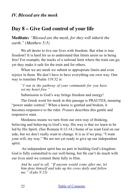# <span id="page-21-1"></span><span id="page-21-0"></span>**Day 8 – Give God control of your life**

**Meditate:** *"Blessed are the meek, for they will inherit the earth." (Matthew 5:5)*

We all desire to live our lives with freedom. But what is true freedom? It is hard for us to understand that limits assist us in being free! For example, the tracks of a railroad limit where the train can go, yet they make it safe for the train and for others.

When we are meek we submit to appropriate limits and even rejoice in them. We don't have to have everything our own way. One way to translate Psalm 119:32 is:

*"I run in the pathway of your commands for you have set my heart free."*

Submission to God's way brings freedom and energy!

The Greek word for meek in this passage is PRAUTES, meaning "power under control." When a horse is gentled and broken, it becomes responsive to the rider. *Prautes* describes this gentle and responsive state.

Meekness means we turn from our own way of thinking, believing and behaving to God's way. His way is that we learn to be led by His Spirit. (See Romans 8:12-14.) Some of us want God on our side, but we don't really want to change. It is as if we pray, "I want your will, my way." We are not yet ready to give up our independent spirit.

 An independent spirit has no part in building God's kingdom. God is fully committed to our well-being, but He can't do much with our lives until we commit them fully to Him.

*And he said to all, "If anyone would come after me, let him deny himself and take up his cross daily and follow me." (Luke 9:23)*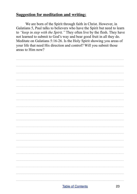We are born of the Spirit through faith in Christ. However, in Galatians 5, Paul talks to believers who have the Spirit but need to learn to "keep in step with the Spirit." They often live by the flesh. They have not learned to submit to God's way and bear good fruit in all they do. Meditate on Galatians 5:16-26. Is the Holy Spirit showing you areas of your life that need His direction and control? Will you submit those areas to  $\overline{\text{Him}}$  now?

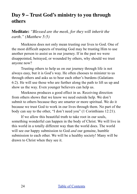# <span id="page-23-0"></span>**Day 9 – Trust God's ministry to you through others**

**Meditate:** *"Blessed are the meek, for they will inherit the earth." (Matthew 5:5)* 

Meekness does not only mean trusting our lives to God. One of the most difficult aspects of trusting God may be trusting Him to use another person to assist us in our journey. If in the past we were disappointed, betrayed, or wounded by others, why should we trust anyone now?

Trusting others to help us on our journey through life is not always easy, but it is God's way. He often chooses to minister to us through others and asks us to bear each other's burdens (Galatians 6:2). He will use those who are further along the path to lift us up and show us the way. Even younger believers can help us.

Meekness produces a good effect in us. Receiving direction from others shows that we know we need outside help. We don't submit to others because they are smarter or more spiritual. We do it because we trust God to work in our lives through them. No part of the body can say to the other, "I don't need you" (1 Corinthians 12:21).

If we allow this beautiful truth to take root in our souls, something wonderful can happen in the body of Christ. We will live in this world in a totally different way than the world does. The world will see our happy submission to God *and* our genuine, humble submission to each other. We will be a healthy society! Many will be drawn to Christ when they see it.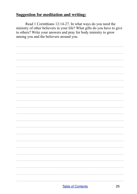Read 1 Corinthians 12:14-27. In what ways do you need the ministry of other believers in your life? What gifts do you have to give to others? Write your answers and pray for body ministry to grow among you and the believers around you.

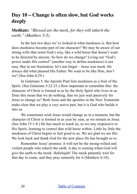# <span id="page-25-0"></span>**Day 10 – Change is often slow, but God works deeply**

**Meditate:** *"Blessed are the meek, for they will inherit the earth." (Matthew 5:5)*

In the last two days we've looked at what meekness is. But how does meekness become part of our character? We may be aware of our strong wills that resist God's way, like a wild horse that doesn't want to be directed by anyone. So how do we change? Living out "God's power under His control" (another way to define meekness) is not easy. But in our frustration, let's not forget – Jesus was meek. He always did what pleased His Father. We want to be like Him, don't we? (See John 8:29.)

In Galatians 5, the Apostle Paul lists meekness as a fruit of the Spirit. (See Galatians 5:22-23.) How important to remember this: the character of Christ is formed in us by the Holy Spirit who lives in us. Does this mean that we do nothing, that we just wait passively for Jesus to change us? Both Jesus and the apostles in the New Testament make clear that we play a very active part, but it is God who builds it into us.

We sometimes wish Jesus would change us in a moment, but the character of Christ is formed in us year by year, as we remain in Jesus. (See John 15:1-8.) He has much to teach us, so we stay responsive to His Spirit, learning to control that wild horse within. Little by little the meekness of Christ begins to feel good to us. We are glad we are His. We look back and thank God for the new place He has brought us to.

Remember Jesus' promise: it will not be the strong-willed and violent people who inherit the earth. A day is coming when God will give the earth to the meek. Hallelujah! The meek patiently wait for that day to come, and they pray earnestly for it (Matthew 6:10).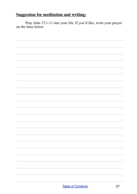Pray John 15:1-11 into your life. If you'd like, write your prayer on the lines below.

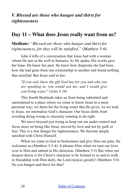<span id="page-27-0"></span>*V. Blessed are those who hunger and thirst for righteousness*

## <span id="page-27-1"></span>**Day 11 – What does Jesus really want from us?**

**Meditate:** *"Blessed are those who hunger and thirst for righteousness, for they will be satisfied."* (*Matthew 5:6)*

John 4 tells of a conversation that Jesus had with a woman whom He met at the well in Samaria. As He spoke, His words gave her hope. He knew her past, He knew how desperate she had been, how she had gone from one relationship to another and found nothing that satisfied. But Jesus said to her:

*"If you only knew the gift God has for you and who you are speaking to, you would ask me, and I would give you living water." (John 4:10)*

This fourth Beatitude takes us from being submitted and surrendered to a place where we come to know Jesus in a more personal way; we thirst for the living water that He gives. As we look to Jesus, we internalize God's character. Our focus shifts from avoiding doing wrong to sincerely wanting to do right.

We move beyond just trying to keep our sin under control and focus more on being like Jesus, moved by love and not by guilt or fear. This is a true hunger for righteousness. We become deeply satisfied with Christ Himself.

When we come to God in brokenness and give Him our pain, He welcomes us (Matthew 5:3-4). It pleases Him when we turn our lives over to Him and submit to His direction. (Matthew 5:5) But when our deepest desire is for Christ's character to be formed in us and to walk in friendship with Him daily, the Lord rejoices greatly! (Matthew 5:6) Do you hunger and thirst for that?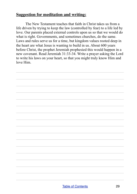The New Testament teaches that faith in Christ takes us from a life driven by trying to keep the law (controlled by fear) to a life led by love. Our parents placed external controls upon us so that we would do what is right. Governments, and sometimes churches, do the same. Laws and rules serve us for a time, but kingdom values rooted deep in the heart are what Jesus is wanting to build in us. About 600 years before Christ, the prophet Jeremiah prophesied this would happen in a new covenant. Read Jeremiah 31:33-34. Write a prayer asking the Lord to write his laws on your heart, so that you might truly know Him and love Him.

 $\mathcal{L}_\text{max} = \mathcal{L}_\text{max} = \mathcal{L}_\text{max} = \mathcal{L}_\text{max} = \mathcal{L}_\text{max} = \mathcal{L}_\text{max} = \mathcal{L}_\text{max} = \mathcal{L}_\text{max} = \mathcal{L}_\text{max} = \mathcal{L}_\text{max} = \mathcal{L}_\text{max} = \mathcal{L}_\text{max} = \mathcal{L}_\text{max} = \mathcal{L}_\text{max} = \mathcal{L}_\text{max} = \mathcal{L}_\text{max} = \mathcal{L}_\text{max} = \mathcal{L}_\text{max} = \mathcal{$ 

 $\mathcal{L}_\text{max} = \mathcal{L}_\text{max} = \mathcal{L}_\text{max} = \mathcal{L}_\text{max} = \mathcal{L}_\text{max} = \mathcal{L}_\text{max} = \mathcal{L}_\text{max} = \mathcal{L}_\text{max} = \mathcal{L}_\text{max} = \mathcal{L}_\text{max} = \mathcal{L}_\text{max} = \mathcal{L}_\text{max} = \mathcal{L}_\text{max} = \mathcal{L}_\text{max} = \mathcal{L}_\text{max} = \mathcal{L}_\text{max} = \mathcal{L}_\text{max} = \mathcal{L}_\text{max} = \mathcal{$ 

 $\mathcal{L}_\text{max} = \mathcal{L}_\text{max} = \mathcal{L}_\text{max} = \mathcal{L}_\text{max} = \mathcal{L}_\text{max} = \mathcal{L}_\text{max} = \mathcal{L}_\text{max} = \mathcal{L}_\text{max} = \mathcal{L}_\text{max} = \mathcal{L}_\text{max} = \mathcal{L}_\text{max} = \mathcal{L}_\text{max} = \mathcal{L}_\text{max} = \mathcal{L}_\text{max} = \mathcal{L}_\text{max} = \mathcal{L}_\text{max} = \mathcal{L}_\text{max} = \mathcal{L}_\text{max} = \mathcal{$ 

 $\mathcal{L}_\text{max} = \mathcal{L}_\text{max} = \mathcal{L}_\text{max} = \mathcal{L}_\text{max} = \mathcal{L}_\text{max} = \mathcal{L}_\text{max} = \mathcal{L}_\text{max} = \mathcal{L}_\text{max} = \mathcal{L}_\text{max} = \mathcal{L}_\text{max} = \mathcal{L}_\text{max} = \mathcal{L}_\text{max} = \mathcal{L}_\text{max} = \mathcal{L}_\text{max} = \mathcal{L}_\text{max} = \mathcal{L}_\text{max} = \mathcal{L}_\text{max} = \mathcal{L}_\text{max} = \mathcal{$ 

 $\mathcal{L}_\text{max} = \mathcal{L}_\text{max} = \mathcal{L}_\text{max} = \mathcal{L}_\text{max} = \mathcal{L}_\text{max} = \mathcal{L}_\text{max} = \mathcal{L}_\text{max} = \mathcal{L}_\text{max} = \mathcal{L}_\text{max} = \mathcal{L}_\text{max} = \mathcal{L}_\text{max} = \mathcal{L}_\text{max} = \mathcal{L}_\text{max} = \mathcal{L}_\text{max} = \mathcal{L}_\text{max} = \mathcal{L}_\text{max} = \mathcal{L}_\text{max} = \mathcal{L}_\text{max} = \mathcal{$ 

 $\mathcal{L}_\text{max} = \mathcal{L}_\text{max} = \mathcal{L}_\text{max} = \mathcal{L}_\text{max} = \mathcal{L}_\text{max} = \mathcal{L}_\text{max} = \mathcal{L}_\text{max} = \mathcal{L}_\text{max} = \mathcal{L}_\text{max} = \mathcal{L}_\text{max} = \mathcal{L}_\text{max} = \mathcal{L}_\text{max} = \mathcal{L}_\text{max} = \mathcal{L}_\text{max} = \mathcal{L}_\text{max} = \mathcal{L}_\text{max} = \mathcal{L}_\text{max} = \mathcal{L}_\text{max} = \mathcal{$ 

 $\mathcal{L}_\text{max} = \mathcal{L}_\text{max} = \mathcal{L}_\text{max} = \mathcal{L}_\text{max} = \mathcal{L}_\text{max} = \mathcal{L}_\text{max} = \mathcal{L}_\text{max} = \mathcal{L}_\text{max} = \mathcal{L}_\text{max} = \mathcal{L}_\text{max} = \mathcal{L}_\text{max} = \mathcal{L}_\text{max} = \mathcal{L}_\text{max} = \mathcal{L}_\text{max} = \mathcal{L}_\text{max} = \mathcal{L}_\text{max} = \mathcal{L}_\text{max} = \mathcal{L}_\text{max} = \mathcal{$ 

 $\mathcal{L}_\text{max} = \mathcal{L}_\text{max} = \mathcal{L}_\text{max} = \mathcal{L}_\text{max} = \mathcal{L}_\text{max} = \mathcal{L}_\text{max} = \mathcal{L}_\text{max} = \mathcal{L}_\text{max} = \mathcal{L}_\text{max} = \mathcal{L}_\text{max} = \mathcal{L}_\text{max} = \mathcal{L}_\text{max} = \mathcal{L}_\text{max} = \mathcal{L}_\text{max} = \mathcal{L}_\text{max} = \mathcal{L}_\text{max} = \mathcal{L}_\text{max} = \mathcal{L}_\text{max} = \mathcal{$ 

 $\mathcal{L}_\text{max} = \mathcal{L}_\text{max} = \mathcal{L}_\text{max} = \mathcal{L}_\text{max} = \mathcal{L}_\text{max} = \mathcal{L}_\text{max} = \mathcal{L}_\text{max} = \mathcal{L}_\text{max} = \mathcal{L}_\text{max} = \mathcal{L}_\text{max} = \mathcal{L}_\text{max} = \mathcal{L}_\text{max} = \mathcal{L}_\text{max} = \mathcal{L}_\text{max} = \mathcal{L}_\text{max} = \mathcal{L}_\text{max} = \mathcal{L}_\text{max} = \mathcal{L}_\text{max} = \mathcal{$ 

 $\mathcal{L}_\text{max} = \mathcal{L}_\text{max} = \mathcal{L}_\text{max} = \mathcal{L}_\text{max} = \mathcal{L}_\text{max} = \mathcal{L}_\text{max} = \mathcal{L}_\text{max} = \mathcal{L}_\text{max} = \mathcal{L}_\text{max} = \mathcal{L}_\text{max} = \mathcal{L}_\text{max} = \mathcal{L}_\text{max} = \mathcal{L}_\text{max} = \mathcal{L}_\text{max} = \mathcal{L}_\text{max} = \mathcal{L}_\text{max} = \mathcal{L}_\text{max} = \mathcal{L}_\text{max} = \mathcal{$ 

 $\mathcal{L}_\text{max} = \mathcal{L}_\text{max} = \mathcal{L}_\text{max} = \mathcal{L}_\text{max} = \mathcal{L}_\text{max} = \mathcal{L}_\text{max} = \mathcal{L}_\text{max} = \mathcal{L}_\text{max} = \mathcal{L}_\text{max} = \mathcal{L}_\text{max} = \mathcal{L}_\text{max} = \mathcal{L}_\text{max} = \mathcal{L}_\text{max} = \mathcal{L}_\text{max} = \mathcal{L}_\text{max} = \mathcal{L}_\text{max} = \mathcal{L}_\text{max} = \mathcal{L}_\text{max} = \mathcal{$ 

 $\mathcal{L}_\text{max} = \mathcal{L}_\text{max} = \mathcal{L}_\text{max} = \mathcal{L}_\text{max} = \mathcal{L}_\text{max} = \mathcal{L}_\text{max} = \mathcal{L}_\text{max} = \mathcal{L}_\text{max} = \mathcal{L}_\text{max} = \mathcal{L}_\text{max} = \mathcal{L}_\text{max} = \mathcal{L}_\text{max} = \mathcal{L}_\text{max} = \mathcal{L}_\text{max} = \mathcal{L}_\text{max} = \mathcal{L}_\text{max} = \mathcal{L}_\text{max} = \mathcal{L}_\text{max} = \mathcal{$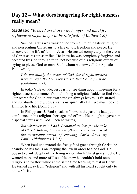# <span id="page-29-0"></span>**Day 12 – What does hungering for righteousness really mean?**

**Meditate:** *"Blessed are those who hunger and thirst for righteousness, for they will be satisfied."* (*Matthew 5:6)*

Saul of Tarsus was transformed from a life of legalistic religion and persecuting Christians to a life of joy, freedom and peace. He discovered the life of faith in Jesus. He trusted completely in the cross of Christ as his sin sacrifice. He knew he was completely forgiven and accepted by God through faith, not because of his religious efforts of trying to please God or man. Saul, whom we now call the Apostle Paul, wrote,

*I do not nullify the grace of God, for if righteousness were through the law, then Christ died for no purpose. (Galatians 2:21)*

In today's Beatitude, Jesus is not speaking about hungering for a righteousness that comes from climbing a religious ladder to find God. Our search for God in our own strength always leaves us frustrated and spiritually empty. Jesus wants us spiritually full. We must look to Him for true life (John 6:35).

In Philippians 3, Paul speaks of how, in the past, he had put confidence in his religious heritage and efforts. He thought it gave him a special status with God. Then he writes,

*But whatever gain I had, I counted as loss for the sake of Christ. Indeed, I count everything as loss because of the surpassing worth of knowing Christ Jesus my Lord... (Philippians 3:7-8)*

When Paul understood the free gift of grace through Christ, he abandoned his focus on keeping the law in order to find God. He began to drink deeply of the living water which Christ gives freely. He wanted more and more of Jesus. He knew he couldn't hold onto religious self-effort while at the same time learning to rest in Christ. He turned away from "religion" and with all his heart sought only to know Christ.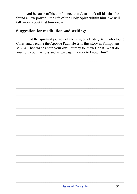And because of his confidence that Jesus took all his sins, he found a new power – the life of the Holy Spirit within him. We will talk more about that tomorrow

## **Suggestion for meditation and writing:**

Read the spiritual journey of the religious leader, Saul, who found Christ and became the Apostle Paul. He tells this story in Philippians 3:1-14. Then write about your own journey to know Christ. What do you now count as loss and as garbage in order to know Him?

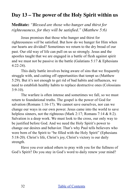# <span id="page-31-0"></span>**Day 13 – The power of the Holy Spirit within us**

**Meditate:** *"Blessed are those who hunger and thirst for righteousness, for they will be satisfied."* (*Matthew 5:6)*

Jesus promises that those who hunger and thirst for righteousness *will* be satisfied. But how do we hunger for Him when our hearts are divided? Sometimes we return to the dry bread of our past. Our old way of life can pull on us so strongly. Jesus and the apostles taught that we are engaged in a battle of flesh against spirit and we must not be passive in the battle (Galatians  $5:17 \&$  Ephesians 4:22-24).

This daily battle involves being aware of sins that we frequently struggle with, and cutting off opportunities that tempt us (Matthew 5:29). But it's not enough to get rid of bad habits and influences, we need to establish healthy habits to replace destructive ones (Colossians  $3:9-10$ .

The warfare is often intense and sometimes we fall, so we must return to foundational truths. The gospel is the power of God for salvation (Romans 1:16-17). We cannot save ourselves, nor can we change our ways in our own power. Jesus came into the world to save helpless sinners, not the righteous (Mark 2:17; Romans 7:14 & 8:2). Salvation is a deep work. We must look to the cross, our only way to be justified before God. And we need the Holy Spirit's power to change our desires and behavior. That's why Paul tells believers who were born of the Spirit to "be filled with the Holy Spirit" (Ephesians 5:18-20). Christ's life, Christ's joy, Christ's victory is our daily strength.

Have you ever asked others to pray with you for the fullness of God's Spirit? Do you stay in God's word to daily renew your mind?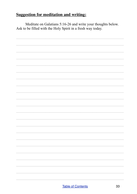Meditate on Galatians 5:16-26 and write your thoughts below. Ask to be filled with the Holy Spirit in a fresh way today.

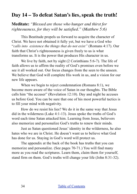# <span id="page-33-0"></span>**Day 14 – To defeat Satan's lies, speak the truth!**

**Meditate:** *"Blessed are those who hunger and thirst for righteousness, for they will be satisfied."* (*Matthew 5:6)*

This Beatitude propels us forward to acquire the character of Christ. We have not obtained it fully yet, but we have a God who "*calls into existence the things that do not exist"* (Romans 4:17). Our faith that Christ's righteousness is given freely to us is what transforms us. It is the power that produces His character in us.

We live by faith, not by sight (2 Corinthians 5:6-7). The life of faith allows us to affirm the reality of God's promises even before we see it all worked out. Our focus changes from the seen to the unseen. We believe that God will complete His work in us, and a vision for our new life appears.

When we begin to reject condemnation (Romans 8:1), we become more aware of the voice of Satan in our thoughts. The Bible calls him "the accuser" (Revelation 12:10). Day and night he accuses us before God. You can be sure that one of his most powerful tactics is to fill your mind with negativity.

How do we resist his lies? We do it in the same way that Jesus did in the wilderness (Luke 4:1-13). Jesus spoke the truths of God's word each time Satan attacked him. Learning from Jesus, believers also memorize and personalize God's truths to renew their minds.

Just as Satan questioned Jesus' identity in the wilderness, he also hates who we are in Christ. He doesn't want us to believe what God has done for us. Staying in God's word will protect us.

The appendix at the back of the book has truths that you can memorize and personalize. (See pages 70-71.) You will find many more as you read the scriptures. Learn them, claim them for yourself, stand firm on them. God's truths will change your life (John 8:31-32).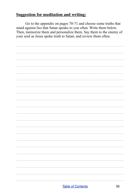Go to the appendix on pages 70-71 and choose some truths that stand against lies that Satan speaks to you often. Write them below. Then, memorize them and personalize them. Say them to the enemy of your soul as Jesus spoke truth to Satan, and review them often.

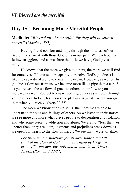# <span id="page-35-1"></span><span id="page-35-0"></span>**Day 15 – Becoming More Merciful People**

**Meditate:** *"Blessed are the merciful, for they will be shown mercy."* (*Matthew 5:7)*

Having found comfort and hope through the kindness of our Savior, we share it with those God puts in our path. We reach out to fellow strugglers, and as we share the little we have, God gives us more.

He knows that the more we give to others, the more we will find for ourselves. Of course, our capacity to receive God's goodness is like the capacity of a cup to contain the ocean. However, as we let His goodness flow out from us, we become more like a pipe than a cup. So as you release the outflow of grace to others, the inflow to you increases as well. You get to enjoy God's goodness as it flows through you to others. In fact, Jesus says the pleasure is greater when you give than when you receive (Acts 20:35).

The more we know our own souls, the more we are able to understand the sins and failings of others. As we listen to their stories, we see more and more what drives people to desperation and isolation and why some resort to addiction and abuse. We are not "less than" or "better than" they are. Our judgments and prejudices break down as we open our hearts to the flow of mercy. We see that we are all alike.

*For there is no distinction: for all have sinned and fall short of the glory of God, and are justified by his grace as a gift, through the redemption that is in Christ Jesus... (Romans 3:22-24)*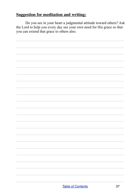Do you see in your heart a judgmental attitude toward others? Ask the Lord to help you every day see your own need for His grace so that you can extend that grace to others also.

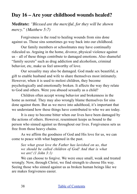# **Day 16 – Are your childhood wounds healed?**

**Meditate:** *"Blessed are the merciful, for they will be shown mercy." (Matthew 5:7)*

Forgiveness is the road to healing wounds from sins done against us. Those sins sometimes go way back into our childhood.

Our family members or schoolmates may have continually ridiculed us. Arguing in the home, divorce, physical violence against us – all of these things contribute to damaged emotions. Also shameful "family secrets" such as drug addiction and alcoholism, criminal behavior, etc, make us feel unworthy of love.

Our sexuality may also be damaged. God made sex beautiful, a gift to enable husband and wife to share themselves most intimately. However, when it is used to molest children, they become psychologically and emotionally broken. It affects the way they relate to God and others. Were you abused sexually as a child?

Children often accept wrong behavior and brokenness in the home as normal. They may also wrongly blame themselves for sins done against them. But as we move into adulthood, it's important that we understand how these things have contributed to who we are today.

It is easy to become bitter when our lives have been damaged by the actions of others. However, resentment keeps us bound to the person who sinned against us throughout our lives. Forgiveness sets us free from those heavy chains.

As we affirm the goodness of God and His love for us, we can come to peace with what happened in the past.

*See what great love the Father has lavished on us, that we should be called children of God! And that is what we are! (1 John 3:1)* 

We can choose to forgive. We were once small, weak and treated wrongly. Now, through Christ, we find strength to choose His way. Seeing those who sinned against us as broken human beings like we are makes forgiveness easier.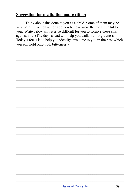Think about sins done to you as a child. Some of them may be very painful. Which actions do you believe were the most hurtful to you? Write below why it is so difficult for you to forgive these sins against you. (The days ahead will help you walk into forgiveness. Today's focus is to help you identify sins done to you in the past which you still hold onto with bitterness.)

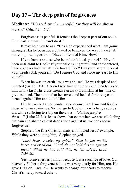# **Day 17 – The deep pain of forgiveness**

**Meditate:** *"Blessed are the merciful, for they will be shown mercy."* (*Matthew 5:7)*

Forgiveness is painful. It touches the deepest part of our souls. Our heart screams, "I can't do it!"

It may help you to ask, "Has God experienced what I am going through? Has he been abused, hated or betrayed the way I have?" A more important question: "Have I offended Him? How?"

If you have a spouse who is unfaithful, ask yourself: "Have I been unfaithful to God?" If your child is ungrateful and self-centered, have you ever had that attitude toward God? Has your parent ignored your needs? Ask yourself, "Do I ignore God and close my ears to His voice?"

When he was on earth Jesus was abused. He was despised and rejected (Isaiah 53:3). A friend sold him for money and then betrayed him with a kiss! His close friends ran away from Him at his time of greatest need. The nation that he served and healed for three years turned against Him and killed Him.

Our heavenly Father wants us to become like Jesus and forgive those who sin against us. We can go to God on their behalf, as Jesus did while suffering terribly on the cross – "*Father, forgive them…"* (Luke 23:34). Jesus shows that even when we are still feeling the pain and shame of evil deeds done against us, we can choose forgiveness.

Stephen, the first Christian martyr, followed Jesus' example. While they were stoning him, Stephen prayed,

*"Lord Jesus, receive my spirit." Then he fell on his knees and cried out, "Lord, do not hold this sin against them." When he had said this, he fell asleep. (Acts 7:59-60)*

Yes, forgiveness is painful because it is a sacrifice of love. Our heavenly Father's forgiveness to us was very costly for Him, too. He gave His Son! And now He wants to change our hearts to receive Christ's mercy toward others.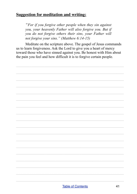"For if you forgive other people when they sin against you, your heavenly Father will also forgive you. But if you do not forgive others their sins, your Father will not forgive your sins." (Matthew  $6:14-15$ )

Meditate on the scripture above. The gospel of Jesus commands us to learn forgiveness. Ask the Lord to give you a heart of mercy toward those who have sinned against you. Be honest with Him about the pain you feel and how difficult it is to forgive certain people.

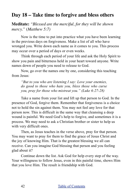# **Day 18 – Take time to forgive and bless others**

**Meditate:** *"Blessed are the merciful, for they will be shown mercy."* (*Matthew 5:7)*

Now is the time to put into practice what you have been learning in the previous days on forgiveness. Make a list of all who have wronged you. Write down each name as it comes to you. This process may occur over a period of days or even weeks.

Think through each period of your life and ask the Holy Spirit to show you pain and bitterness held in your heart toward anyone. Write names down of people you need to release to God.

Now, go over the names one by one, considering this teaching from Jesus:

*"But to you who are listening I say: Love your enemies, do good to those who hate you, bless those who curse you, pray for those who mistreat you." (Luke 6:27-28)*

Take a name from your list and lift up that person to God. In the presence of God, forgive them. Remember that forgiveness is a choice not to hold the sin against them. You may not feel any love for that person now. This is difficult in the same way that cleansing a deep wound is painful. We need God's help to forgive, and sometimes it is a process. We may need to ask a Christian brother or sister to help us with very difficult ones.

Then, as Jesus teaches in the verse above, pray for that person. You may want to pray for them to find the grace of Jesus Christ and the joy of knowing Him. That is the greatest blessing we all can receive. Can you imagine God blessing that person and you feeling glad about it?

Continue down the list. Ask God for help every step of the way. Your willingness to follow Jesus, even in this painful time, shows Him that you love Him. The result is friendship with God.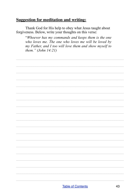Thank God for His help to obey what Jesus taught about forgiveness. Below, write your thoughts on this verse:

"Whoever has my commands and keeps them is the one who loves me. The one who loves me will be loved by my Father, and I too will love them and show myself to them."  $(John 14:21)$ 

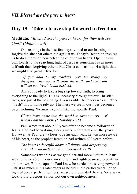## **Day 19 – Take a brave step forward to freedom**

**Meditate:** *"Blessed are the pure in heart, for they will see God*." (*Matthew 5:8)*

Our readings in the last few days related to our learning to forgive the sins that others did against us. Today's Beatitude inspires us to do a thorough housecleaning of our own hearts. Opening our own hearts to the searching light of Jesus is sometimes even more difficult than forgiving others. But Christ calls us into His light that we might find greater freedom.

*"If you hold to my teaching, you are really my disciples. Then you will know the truth, and the truth will set you free." (John 8:31-32)*

Are you ready to take a big step toward truth, to bring everything to the light? This is necessary throughout our Christian lives, not just at the beginning. Even as older believers we can let the "trash" in our home pile up. The mess we see in our lives becomes overwhelming. We may exclaim like the apostle Paul:

*Christ Jesus came into the world to save sinners – of whom I am the worst. (1 Timothy 1:15)*

Paul wrote that about 30 years after he became a follower of Jesus. God had been doing a deep work within him over the years. However, as Paul grew closer to Jesus each year, he was more aware of his heart, as the prophet Jeremiah had written 600 years before:

*The heart is deceitful above all things, and desperately sick; who can understand it? (Jeremiah 17:9)*

Sometimes we think as we get older and more mature in Jesus we should be able, in our own strength and righteousness, to continue on our own. But the apostle Paul knew he needed the saving power of Christ as much in his later years as he did in the earlier years. In the light of Jesus' perfect holiness, we see our own dark hearts. We always look to our gracious Savior, not our own righteousness.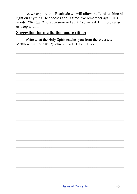As we explore this Beatitude we will allow the Lord to shine his light on anything He chooses at this time. We remember again His words: "BLESSED are the pure in heart," so we ask Him to cleanse us deep within.

#### **Suggestion for meditation and writing:**

Write what the Holy Spirit teaches you from these verses: Matthew 5:8; John 8:12; John 3:19-21; 1 John 1:5-7

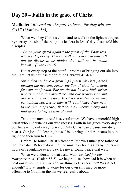## **Day 20 – Faith in the grace of Christ**

**Meditate:** *"Blessed are the pure in heart, for they will see God*." (*Matthew 5:8)*

When we obey Christ's command to walk in the light, we reject hypocrisy, the sin of the religious leaders in Jesus' day. Jesus told his disciples:

*"Be on your guard against the yeast of the Pharisees, which is hypocrisy. There is nothing concealed that will not be disclosed, or hidden that will not be made known." (Luke 12:1-2)*

But at every step of the painful process of bringing our sin into the light, let us not lose the truth of Hebrews 4:14-16:

*Since then we have a great high priest who has passed through the heavens, Jesus, the Son of God, let us hold fast our confession. For we do not have a high priest who is unable to sympathize with our weaknesses, but one who in every respect has been tempted as we are, yet without sin. Let us then with confidence draw near to the throne of grace, that we may receive mercy and find grace to help in time of need.* 

Take time now to read it several times. We have a merciful high priest who understands our weaknesses. Faith in his grace every day of our lives is the only way forward. Only Christ can cleanse our dirty hearts. Our job of "cleaning house" is to bring our dark hearts into the light and then turn to Him.

Before He found Christ's freedom, Martin Luther (the father of the Protestant Reformation), felt he must pay for his sins by hours and hours of repentance every day. He never found peace that way.

When we understand that Jesus was *"bruised for our transgressions"* (Isaiah 53:5), we begin to see how sad it is when we beat ourselves up. Can we add anything to His sacrifice? Was it not enough? Our attempts to atone for our own sins may be more offensive to God than the sin we feel guilty about.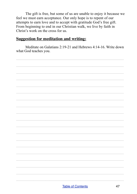The gift is free, but some of us are unable to enjoy it because we feel we must earn acceptance. Our only hope is to repent of our attempts to earn love and to accept with gratitude God's free gift. From beginning to end in our Christian walk, we live by faith in Christ's work on the cross for us.

#### **Suggestion for meditation and writing:**

Meditate on Galatians 2:19-21 and Hebrews 4:14-16 Write down what God teaches you.

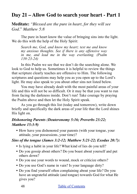# **Day 21 – Allow God to search your heart - Part 1**

**Meditate:** *"Blessed are the pure in heart, for they will see God*." *Matthew 5:8*

The pure in heart know the value of bringing sins into the light. We do this with the help of the Holy Spirit:

*Search me, God, and know my heart; test me and know my anxious thoughts. See if there is any offensive way in me, and lead me in the way everlasting. (Psalm 139:23-24)*

In this Psalm we see that we don't do the searching alone. We look to God to help us. Sometimes it is helpful to review the things that scripture clearly teaches are offensive to Him. The following scriptures and questions may help you as you open up to the Lord's light. He may also speak to you about other sins not listed below.

You may have already dealt with the most painful areas of your life and this will not be so difficult. Or it may be that you want to run from facing the darkness inside. Don't run! Take courage by praying the Psalm above and then let the Holy Spirit speak.

As you go through this list (today and tomorrow), write down briefly and specifically the dark areas of your life that the Lord shines His light on.

#### *Dishonoring Parents (Deuteronomy 5:16; Proverbs 23:22; Matthew 15:3-9)*

• How have you dishonored your parents (with your tongue, your attitude, your possessions, your time)?

#### *Sins of the tongue (James 3:2-12; Matthew 5:21-22; Exodus 20:7):*

- Is lying a habit in your life? What kind of lies do you tell?
- Do you gossip about others? Do you boast about yourself and put others down?
- Do you use your words to wound, mock or criticize others?
- Do you use God's name in vain? Is your language dirty?
- Do you find yourself often complaining about your life? Do you have an ungrateful attitude (and tongue) towards God for what He gives you?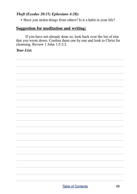#### Theft (Exodus 20:15; Ephesians 4:28):

• Have you stolen things from others? Is it a habit in your life?

### **Suggestion for meditation and writing:**

If you have not already done so, look back over the list of sins that you wrote down. Confess them one by one and look to Christ for cleansing. Review 1 John 1:5-2:2.

#### **Your List:**

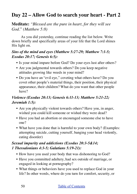# **Day 22 – Allow God to search your heart - Part 2**

**Meditate:** *"Blessed are the pure in heart, for they will see God*." *(Matthew 5:8)*

As you did yesterday, continue reading the list below. Write down briefly and specifically areas of your life that the Lord shines His light on.

#### *Sins of the mind and eyes (Matthew 5:27-29; Matthew 7:1-5; Exodus 20:17; Genesis 6:5):*

- Is your mind impure before God? Do your eyes lust after others?
- Are you judgmental towards others? Do you keep negative attitudes growing like weeds in your mind?
- Do you have an "evil eye," coveting what others have? Do you covet other people's material things, their position, their physical appearance, their children? What do you want that other people have?

### *Violence (Exodus 20:13; Genesis 6:11-13; Matthew 5:21-22; Jeremiah 1:5):*

- Are you physically violent towards others? Have you, in anger, wished you could kill someone or wished they were dead?
- Have you had an abortion or encouraged someone else to have one?
- What have you done that is harmful to your own body? (Examples: attempting suicide, cutting yourself, banging your head violently, eating disorder)

### *Sexual impurity and addictions (Exodus 20:3-5&14; 1 Thessalonians 4:3-5; Galatians 5:19-21):*

- How have you used your body that was dishonoring to God?
- Have you committed adultery, had sex outside of marriage, or engaged in looking at pornography?
- What things or behaviors have you used to replace God in your life? In other words, where do you turn for comfort, security, or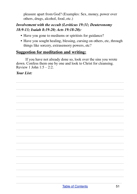pleasure apart from God? (Examples: Sex, money, power over others, drugs, alcohol, food, etc.)

#### *Involvement with the occult (Leviticus 19:31; Deuteronomy 18:9-13; Isaiah 8:19-20; Acts 19:18-20):*

- Have you gone to mediums or spiritists for guidance?
- Have you sought healing, blessing, cursing on others, etc, through things like sorcery, extrasensory powers, etc?

### **Suggestion for meditation and writing:**

If you have not already done so, look over the sins you wrote down. Confess them one by one and look to Christ for cleansing. Review 1 John  $1:5 - 2:2$ .

 $\mathcal{L}_\text{max} = \mathcal{L}_\text{max} = \mathcal{L}_\text{max} = \mathcal{L}_\text{max} = \mathcal{L}_\text{max} = \mathcal{L}_\text{max} = \mathcal{L}_\text{max} = \mathcal{L}_\text{max} = \mathcal{L}_\text{max} = \mathcal{L}_\text{max} = \mathcal{L}_\text{max} = \mathcal{L}_\text{max} = \mathcal{L}_\text{max} = \mathcal{L}_\text{max} = \mathcal{L}_\text{max} = \mathcal{L}_\text{max} = \mathcal{L}_\text{max} = \mathcal{L}_\text{max} = \mathcal{$ 

 $\mathcal{L}_\text{max} = \mathcal{L}_\text{max} = \mathcal{L}_\text{max} = \mathcal{L}_\text{max} = \mathcal{L}_\text{max} = \mathcal{L}_\text{max} = \mathcal{L}_\text{max} = \mathcal{L}_\text{max} = \mathcal{L}_\text{max} = \mathcal{L}_\text{max} = \mathcal{L}_\text{max} = \mathcal{L}_\text{max} = \mathcal{L}_\text{max} = \mathcal{L}_\text{max} = \mathcal{L}_\text{max} = \mathcal{L}_\text{max} = \mathcal{L}_\text{max} = \mathcal{L}_\text{max} = \mathcal{$ 

 $\mathcal{L}_\text{max} = \mathcal{L}_\text{max} = \mathcal{L}_\text{max} = \mathcal{L}_\text{max} = \mathcal{L}_\text{max} = \mathcal{L}_\text{max} = \mathcal{L}_\text{max} = \mathcal{L}_\text{max} = \mathcal{L}_\text{max} = \mathcal{L}_\text{max} = \mathcal{L}_\text{max} = \mathcal{L}_\text{max} = \mathcal{L}_\text{max} = \mathcal{L}_\text{max} = \mathcal{L}_\text{max} = \mathcal{L}_\text{max} = \mathcal{L}_\text{max} = \mathcal{L}_\text{max} = \mathcal{$ 

 $\mathcal{L}_\text{max} = \mathcal{L}_\text{max} = \mathcal{L}_\text{max} = \mathcal{L}_\text{max} = \mathcal{L}_\text{max} = \mathcal{L}_\text{max} = \mathcal{L}_\text{max} = \mathcal{L}_\text{max} = \mathcal{L}_\text{max} = \mathcal{L}_\text{max} = \mathcal{L}_\text{max} = \mathcal{L}_\text{max} = \mathcal{L}_\text{max} = \mathcal{L}_\text{max} = \mathcal{L}_\text{max} = \mathcal{L}_\text{max} = \mathcal{L}_\text{max} = \mathcal{L}_\text{max} = \mathcal{$ 

 $\mathcal{L}_\text{max} = \mathcal{L}_\text{max} = \mathcal{L}_\text{max} = \mathcal{L}_\text{max} = \mathcal{L}_\text{max} = \mathcal{L}_\text{max} = \mathcal{L}_\text{max} = \mathcal{L}_\text{max} = \mathcal{L}_\text{max} = \mathcal{L}_\text{max} = \mathcal{L}_\text{max} = \mathcal{L}_\text{max} = \mathcal{L}_\text{max} = \mathcal{L}_\text{max} = \mathcal{L}_\text{max} = \mathcal{L}_\text{max} = \mathcal{L}_\text{max} = \mathcal{L}_\text{max} = \mathcal{$ 

 $\mathcal{L}_\text{max} = \mathcal{L}_\text{max} = \mathcal{L}_\text{max} = \mathcal{L}_\text{max} = \mathcal{L}_\text{max} = \mathcal{L}_\text{max} = \mathcal{L}_\text{max} = \mathcal{L}_\text{max} = \mathcal{L}_\text{max} = \mathcal{L}_\text{max} = \mathcal{L}_\text{max} = \mathcal{L}_\text{max} = \mathcal{L}_\text{max} = \mathcal{L}_\text{max} = \mathcal{L}_\text{max} = \mathcal{L}_\text{max} = \mathcal{L}_\text{max} = \mathcal{L}_\text{max} = \mathcal{$ 

 $\mathcal{L}_\text{max} = \mathcal{L}_\text{max} = \mathcal{L}_\text{max} = \mathcal{L}_\text{max} = \mathcal{L}_\text{max} = \mathcal{L}_\text{max} = \mathcal{L}_\text{max} = \mathcal{L}_\text{max} = \mathcal{L}_\text{max} = \mathcal{L}_\text{max} = \mathcal{L}_\text{max} = \mathcal{L}_\text{max} = \mathcal{L}_\text{max} = \mathcal{L}_\text{max} = \mathcal{L}_\text{max} = \mathcal{L}_\text{max} = \mathcal{L}_\text{max} = \mathcal{L}_\text{max} = \mathcal{$ 

 $\mathcal{L}_\text{max} = \mathcal{L}_\text{max} = \mathcal{L}_\text{max} = \mathcal{L}_\text{max} = \mathcal{L}_\text{max} = \mathcal{L}_\text{max} = \mathcal{L}_\text{max} = \mathcal{L}_\text{max} = \mathcal{L}_\text{max} = \mathcal{L}_\text{max} = \mathcal{L}_\text{max} = \mathcal{L}_\text{max} = \mathcal{L}_\text{max} = \mathcal{L}_\text{max} = \mathcal{L}_\text{max} = \mathcal{L}_\text{max} = \mathcal{L}_\text{max} = \mathcal{L}_\text{max} = \mathcal{$ 

 $\mathcal{L}_\text{max} = \mathcal{L}_\text{max} = \mathcal{L}_\text{max} = \mathcal{L}_\text{max} = \mathcal{L}_\text{max} = \mathcal{L}_\text{max} = \mathcal{L}_\text{max} = \mathcal{L}_\text{max} = \mathcal{L}_\text{max} = \mathcal{L}_\text{max} = \mathcal{L}_\text{max} = \mathcal{L}_\text{max} = \mathcal{L}_\text{max} = \mathcal{L}_\text{max} = \mathcal{L}_\text{max} = \mathcal{L}_\text{max} = \mathcal{L}_\text{max} = \mathcal{L}_\text{max} = \mathcal{$ 

 $\mathcal{L}_\text{max} = \mathcal{L}_\text{max} = \mathcal{L}_\text{max} = \mathcal{L}_\text{max} = \mathcal{L}_\text{max} = \mathcal{L}_\text{max} = \mathcal{L}_\text{max} = \mathcal{L}_\text{max} = \mathcal{L}_\text{max} = \mathcal{L}_\text{max} = \mathcal{L}_\text{max} = \mathcal{L}_\text{max} = \mathcal{L}_\text{max} = \mathcal{L}_\text{max} = \mathcal{L}_\text{max} = \mathcal{L}_\text{max} = \mathcal{L}_\text{max} = \mathcal{L}_\text{max} = \mathcal{$ 

 $\mathcal{L}_\text{max} = \mathcal{L}_\text{max} = \mathcal{L}_\text{max} = \mathcal{L}_\text{max} = \mathcal{L}_\text{max} = \mathcal{L}_\text{max} = \mathcal{L}_\text{max} = \mathcal{L}_\text{max} = \mathcal{L}_\text{max} = \mathcal{L}_\text{max} = \mathcal{L}_\text{max} = \mathcal{L}_\text{max} = \mathcal{L}_\text{max} = \mathcal{L}_\text{max} = \mathcal{L}_\text{max} = \mathcal{L}_\text{max} = \mathcal{L}_\text{max} = \mathcal{L}_\text{max} = \mathcal{$ 

 $\mathcal{L}_\text{max} = \mathcal{L}_\text{max} = \mathcal{L}_\text{max} = \mathcal{L}_\text{max} = \mathcal{L}_\text{max} = \mathcal{L}_\text{max} = \mathcal{L}_\text{max} = \mathcal{L}_\text{max} = \mathcal{L}_\text{max} = \mathcal{L}_\text{max} = \mathcal{L}_\text{max} = \mathcal{L}_\text{max} = \mathcal{L}_\text{max} = \mathcal{L}_\text{max} = \mathcal{L}_\text{max} = \mathcal{L}_\text{max} = \mathcal{L}_\text{max} = \mathcal{L}_\text{max} = \mathcal{$ 

#### *Your List:*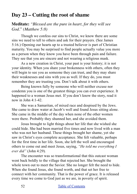# **Day 23 – Cutting the root of shame**

**Meditate:** *"Blessed are the pure in heart, for they will see God*." *(Matthew 5:8)*

Though we confess our sins to Christ, we know there are some sins we need to tell to others and ask for their prayers. (See James 5:16.) Opening our hearts up to a trusted believer is part of Christian maturity. You may be surprised to find people actually value you more as a person when they know you have been through pain and failure. They see that you are sincere and not wearing a religious mask.

As a new creation in Christ, your past is your history; it is not your identity. When you share your brokenness with others, often they will begin to see you as someone they can trust, and they may share their weaknesses and sins with you as well. If they do, you must remember they are trusting you. Don't talk about it with others.

Being known fully by someone who will neither excuse nor condemn you is one of the greatest things you can ever experience. It happened to a woman Jesus met. If you don't know the story, read it now in John 4:1-42.

She was a Samaritan, of mixed race and despised by the Jews. She came to draw water at Jacob's well and found Jesus sitting alone. She came in the middle of the day when none of the other women were there. Probably they shunned her, and she avoided them.

Jesus brought to light things about her life that she wished she could hide. She had been married five times and now lived with a man who was not her husband. These things brought her shame, yet she saw in Christ's eyes complete acceptance. She felt valuable, perhaps for the first time in her life. Soon, she left the well and encouraged others to come out and meet Jesus, saying, *"He told me everything I ever did"* (John 4:29)*.*

The encounter was so transformational that this outcast woman went back boldly to the village that rejected her. She brought the whole town out to meet the Savior. She no longer felt the need to hide. When she found Jesus, she found worth, and that set her free to connect with her community. That is the power of grace. It is released every time we come to God just as we are, in poverty of spirit.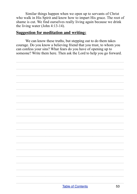Similar things happen when we open up to servants of Christ who walk in His Spirit and know how to impart His grace. The root of shame is cut. We find ourselves really living again because we drink the living water (John 4:13-14).

#### **Suggestion for meditation and writing:**

We can know these truths, but stepping out to do them takes courage. Do you know a believing friend that you trust, to whom you can confess your sins? What fears do you have of opening up to someone? Write them here. Then ask the Lord to help you go forward.

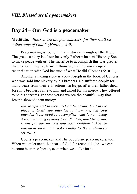## **Day 24 – Our God is a peacemaker**

**Meditate**: *"Blessed are the peacemakers, for they shall be called sons of God." (Matthew 5:9)*

Peacemaking is found in many stories throughout the Bible. The greatest story is of our heavenly Father who sent His only Son to make peace with us. The sacrifice to accomplish this was greater than we can imagine. Now millions around the world enjoy reconciliation with God because of what He did (Romans 5:10-11).

Another amazing story is about Joseph in the book of Genesis, who was sold into slavery by his brothers. He suffered deeply for many years from their evil actions. In Egypt, after their father died, Joseph's brothers came to him and asked for his mercy. They offered to be his servants. In these verses we see the beautiful way that Joseph showed them mercy:

*But Joseph said to them, "Don't be afraid. Am I in the place of God? You intended to harm me, but God intended it for good to accomplish what is now being done, the saving of many lives. So then, don't be afraid. I will provide for you and your children." And he reassured them and spoke kindly to them. (Genesis 50:19-21)*

God is a peacemaker, and His people are peacemakers, too. When we understand the heart of God for reconciliation, we can become bearers of peace, even when we suffer for it.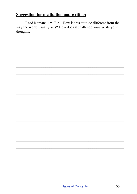Read Romans 12:17-21. How is this attitude different from the way the world usually acts? How does it challenge you? Write your thoughts.

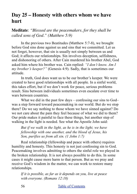## **Day 25 – Honesty with others whom we have hurt**

**Meditate**: *"Blessed are the peacemakers, for they shall be called sons of God." (Matthew 5:9)*

In the previous two Beatitudes (Matthew 5:7-8), we brought before God sins done against us and sins that we committed. Let us not forget, however, that sin is usually not simply between us and God; it affects our relationships. Sin involves deception, selfishness, and dishonoring of others. After Cain murdered his brother Abel, God asked him where his brother was. Cain replied: *"I don't know. Am I my brother's keeper?"* (Genesis 4:9). Sadly, that is sometimes our attitude.

In truth, God does want us to be our brother's keeper. We were created to have good relationships with all people. In a sinful world, this takes effort, but if we don't work for peace, serious problems result. Sins between individuals sometimes even escalate over time to wars between countries.

What we did in the past few days – confessing our sins to God– was a step forward toward peacemaking in our world. But do we stop there? Do we say nothing to those whom we have sinned against? Do we not care about the pain they feel because of what we did to them? Our pride makes it painful to face these things, but another step of walking in the light is needed. See what the Apostle John said:

*But if we walk in the light, as he is in the light, we have fellowship with one another, and the blood of Jesus, his Son, purifies us from all sin. (1 John 1:7)*

Real relationship (fellowship and peace with others) requires humility and honesty. This honesty is not just confessing sin to God. Peacemaking involves admitting to others the sinful role we played in the broken relationship. It is not always possible to do this. In some cases it might cause more harm to that person. But as we pray and receive God's wisdom in the matter, we can work to restore many relationships.

*If it is possible, as far as it depends on you, live at peace with everyone. (Romans 12:18)*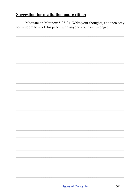Meditate on Matthew 5:23-24. Write your thoughts, and then pray for wisdom to work for peace with anyone you have wronged.

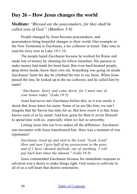## **Day 26 – How Jesus changes the world**

**Meditate:** *"Blessed are the peacemakers, for they shall be called sons of God." (Matthew 5:9)*

People changed by Jesus become peacemakers, and peacemakers bring beautiful changes to their world. One example in the New Testament is Zacchaeus, a tax collector in Israel. Take time to read his story now in Luke 19:1-10.

The people hated Zacchaeus because he worked for Rome and made lots of money by cheating his fellow Israelites. His passion to make money had made his heart hard. But even hard-hearted people, deep down inside, know their own sin. Something was going on inside Zacchaeus' heart the day he climbed the tree to see Jesus. When Jesus passed the tree, he looked up at the tax collector, and he called him by name!

#### *"Zacchaeus, hurry and come down, for I must stay at your house today."(Luke 19:5)*

Jesus had never met Zacchaeus before this, so it was surely a shock that Jesus knew his name. Some of us are like him; we can't imagine that the Savior has time for us. But how sweet it is that Jesus knows each of us by name! And how great for Him to invite Himself to spend time with us– especially when we feel so unworthy.

Letting Jesus into our lives makes all the difference. Zacchaeus' one encounter with Jesus transformed him. Here was a moment of true repentance!

*Zacchaeus stood up and said to the Lord, "Look, Lord! Here and now I give half of my possessions to the poor, and if I have cheated anybody out of anything, I will pay back four times the amount." (Luke 19:8)*

Jesus commended Zacchaeus because his immediate response to salvation was a desire to make things right. God wants to cultivate in all of us a soft heart that desires restoration.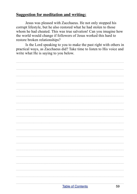Jesus was pleased with Zacchaeus. He not only stopped his corrupt lifestyle, but he also restored what he had stolen to those whom he had cheated. This was true salvation! Can you imagine how the world would change if followers of Jesus worked this hard to restore broken relationships?

Is the Lord speaking to you to make the past right with others in practical ways, as Zacchaeus did? Take time to listen to His voice and write what He is saying to you below.

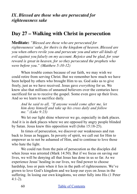*IX. Blessed are those who are persecuted for righteousness sake*

## **Day 27 – Walking with Christ in persecution**

**Meditate:** *"Blessed are those who are persecuted for righteousness' sake, for theirs is the kingdom of heaven. Blessed are you when others revile you and persecute you and utter all kinds of evil against you falsely on my account. Rejoice and be glad, for your reward is great in heaven, for so they persecuted the prophets who were before you." (Matthew 5:10-12)*

When trouble comes because of our faith, we may wish we could retire from serving Christ. But we remember how much we have been helped by others who brought Him to us. God asks us to give freely, just as we have received. Jesus gave *everything* for us. We know also that millions of unnamed believers over the centuries have sacrificed for us to receive the gospel. Some even gave up their lives. And so we learn to sacrifice daily.

*And he said to all, "If anyone would come after me, let him deny himself and take up his cross daily and follow me." (Luke 9:23)*

We let our light shine wherever we go, especially in dark places. And it is in dark places where we are opposed by angry people blinded by Satan. Jesus knew this opposition well (John 15:18-25).

In times of persecution, we discover our weaknesses and run back to Jesus as beggars. In poverty of spirit, we call out for Him to empower us to not be ashamed of Him, and to continue to love those who hate the light.

We could run from the pain of persecution as the disciples did when Jesus was arrested (Mark 14:50). But if we focus on saving our lives, we will be denying all that Jesus has done in us so far. As we experience Jesus' healing in our lives, we find power to choose hardship, loss or pain when it lies in the path of righteousness. We've grown to love God's kingdom and we keep our eyes on Jesus in the suffering. In losing our own kingdoms, we enter fully into His (1 Peter 4:1-2).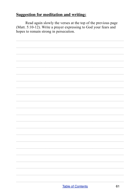Read again slowly the verses at the top of the previous page (Matt. 5:10-12). Write a prayer expressing to God your fears and hopes to remain strong in persecution.

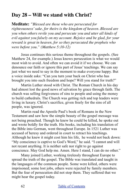# **Day 28 – Will we stand with Christ?**

**Meditate:** *"Blessed are those who are persecuted for righteousness' sake, for theirs is the kingdom of heaven. Blessed are you when others revile you and persecute you and utter all kinds of evil against you falsely on my account. Rejoice and be glad, for your reward is great in heaven, for so they persecuted the prophets who were before you." (Matthew 5:10-12)*

Jesus continues this serious theme throughout the gospels. (See Matthew 24, for example.) Jesus knows persecution is what we would most wish to avoid. And often we can avoid it if we choose. We can denounce our faith or ignore this part of Jesus' teachings. We can say just what we need to say in the moment to make everyone happy. But a voice inside asks: "Can you turn your back on Christ who has brought you into such freedom and hope? Will you stand for truth?"

Martin Luther stood with Christ. The Roman Church in his day had almost lost the good news of salvation by grace through faith. The church was selling forgiveness of sins to people and using the money to build cathedrals. The Church was getting rich and top leaders were living in luxury. Christ's sacrifice, given freely for the sins of all people, was ignored.

Martin read the Apostle Paul's book of Romans in the New Testament and saw how the simple beauty of the gospel message was not being preached. Though he knew he could be killed, he spoke out and wrote boldly for the truth. His books, including his translation of the Bible into German, went throughout Europe. In 1521 Luther was accused of heresy and ordered in court to retract his teachings. Although he knew it might cost him his life, he would not back down: "My conscience is captive to God's Word," he said. "I cannot and will not recant anything. It is neither safe nor right to go against conscience. May God help me. Amen. Here I stand, I can do no other."

Many joined Luther, working tirelessly throughout Europe to spread the truth of the gospel. The Bible was translated and taught in the languages of the common people. Some were killed, others were imprisoned; some lost jobs, others were rejected by family members. But the fear of persecution did not stop them. They suffered that we might hear the gospel today.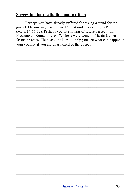Perhaps you have already suffered for taking a stand for the gospel. Or you may have denied Christ under pressure, as Peter did (Mark 14:66-72). Perhaps you live in fear of future persecution. Meditate on Romans 1:16-17. These were some of Martin Luther's favorite verses. Then, ask the Lord to help you see what can happen in your country if you are unashamed of the gospel.

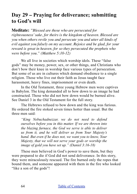# **Day 29 – Praying for deliverance; submitting to God's will**

**Meditate:** *"Blessed are those who are persecuted for righteousness' sake, for theirs is the kingdom of heaven. Blessed are you when others revile you and persecute you and utter all kinds of evil against you falsely on my account. Rejoice and be glad, for your reward is great in heaven, for so they persecuted the prophets who were before you." (Matthew 5:10-12)*

We all live in societies which worship idols. These "false" gods" may be money, power, sex, or other things, and Christians who don't bow their knee in worship face various types of persecution. But some of us are in cultures which demand obedience to a single religion. Those who live out their faith as Jesus taught face harassment, heavy fines, imprisonment or even death.

In the Old Testament, three young Hebrew men were captives in Babylon. The king demanded all to bow down to an image he had constructed. Those who did not bow down would be burned alive. See Daniel 3 in the Old Testament for the full story.

The Hebrews refused to bow down and the king was furious. He ordered the fire stoked seven times hotter than usual. But the three men said:

*"King Nebuchadnezzar, we do not need to defend ourselves before you in this matter. If we are thrown into the blazing furnace, the God we serve is able to deliver us from it, and he will deliver us from Your Majesty's hand. But even if he does not, we want you to know, Your Majesty, that we will not serve your gods or worship the image of gold you have set up." (Daniel 3:16-18)*

These men believed in God's power to save them, but they were prepared to die if God did not send deliverance. In this story, they were miraculously rescued. The fire burned only the ropes that bound them, and someone appeared with them in the fire who looked "like a son of the gods"!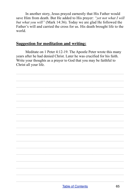In another story, Jesus prayed earnestly that His Father would save Him from death. But He added to His prayer: *"yet not what I will but what you will"* (Mark 14:36). Today we are glad He followed the Father's will and carried the cross for us. His death brought life to the world.

#### **Suggestion for meditation and writing:**

Meditate on 1 Peter 4:12-19. The Apostle Peter wrote this many years after he had denied Christ. Later he was crucified for his faith. Write your thoughts as a prayer to God that you may be faithful to Christ all your life.

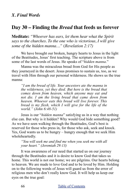## **Day 30 – Finding the** *Bread* **that feeds us forever**

**Meditate:** *"Whoever has ears, let them hear what the Spirit says to the churches. To the one who is victorious, I will give some of the hidden manna…"* (*Revelation 2:17)*

We have brought our broken, hungry hearts to Jesus in the light of the Beatitudes, Jesus' first teaching. The scripture above is from some of the last words of Jesus. He speaks of "*hidden manna*."

Manna was the miraculous bread from God for His people as they journeyed in the desert. Jesus promises to sustain us, too, as we travel with Him through our personal wilderness. He shows us the true manna:

*"I am the bread of life. Your ancestors ate the manna in the wilderness, yet they died. But here is the bread that comes down from heaven, which anyone may eat and not die. I am the living bread that came down from heaven. Whoever eats this bread will live forever. This bread is my flesh, which I will give for the life of the world." (John 6:48-51)*

Jesus is our "*hidden manna*" satisfying us in a way that nothing else can. But why is it hidden? Why would God hide something good? As we have seen walking through the Beatitudes, God's best is reserved for those who press in, for those who ask, seek and knock. Yes, God wants us to be hungry – hungry enough that we seek Him wholeheartedly.

*"You will seek me and find me when you seek me with all your heart." (Jeremiah 29:13)*

It was awareness of our need that started us on our journey through the Beatitudes and it is desire to know God that takes us home. This world is not our home; we are pilgrims. Our hearts belong to heaven. We are made to love God and to be loved by Him. Holding on to the following words of Jesus will guard us from the error of religious men who don't really know God. It will help us keep our eyes on the true goal: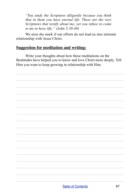*"You study the Scriptures diligently because you think that in them you have eternal life. These are the very Scriptures that testify about me, yet you refuse to come to me to have life." (John 5:39-40)*

We miss the mark if our efforts do not lead us into intimate relationship with Jesus Christ.

#### **Suggestion for meditation and writing:**

Write your thoughts about how these meditations on the Beatitudes have helped you to know and love Christ more deeply. Tell Him you want to keep growing in relationship with Him.

 $\mathcal{L}_\text{max} = \mathcal{L}_\text{max} = \mathcal{L}_\text{max} = \mathcal{L}_\text{max} = \mathcal{L}_\text{max} = \mathcal{L}_\text{max} = \mathcal{L}_\text{max} = \mathcal{L}_\text{max} = \mathcal{L}_\text{max} = \mathcal{L}_\text{max} = \mathcal{L}_\text{max} = \mathcal{L}_\text{max} = \mathcal{L}_\text{max} = \mathcal{L}_\text{max} = \mathcal{L}_\text{max} = \mathcal{L}_\text{max} = \mathcal{L}_\text{max} = \mathcal{L}_\text{max} = \mathcal{$ 

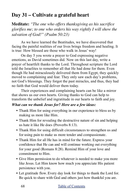# **Day 31 – Cultivate a grateful heart**

**Meditate:** *"The one who offers thanksgiving as his sacrifice glorifies me; to one who orders his way rightly I will show the salvation of God!" (Psalm 50:23)*

As we have learned the Beatitudes, we have discovered that facing the painful realities of our lives brings freedom and healing. It is true: How blessed are those who walk in Jesus' way!

On day 5 you wrote a prayer to God expressing negative emotions, as David sometimes did. Now on this last day, write a prayer of heartfelt thanks to the Lord. Throughout scripture the Lord told the Israelites to remember all that He had done for them. Even though He had miraculously delivered them from Egypt, they quickly moved to complaining and fear. They only saw each day's problems, not God's blessings. They forgot the past miracles, and thus, they had no faith that God would deliver them today.

Their experiences and complaining hearts can be like a mirror that shows us our own hearts. Giving thanks to God can help to transform the unbelief and ingratitude in our hearts to faith and joy.

#### *What can we thank Jesus for? Here are a few ideas:*

- Thank Him for using everything in our experience to bless us by making us more like Him.
- Thank Him for revealing the destructive nature of sin and helping us hate it like He does (Proverbs 8:13).
- Thank Him for using difficult circumstances to strengthen us and for using pain to make us more tender and compassionate.
- Thank Him for all He has in mind for the future. Express your confidence that He can and will continue working out everything for your good (Romans 8:28). Remind Him of your love and commitment to Him.
- Give Him permission to do whatever is needed to make you more like Jesus. Let Him know how much you appreciate His patient persistence with you.
- Let gratitude flow. Every day look for things to thank the Lord for. Be quick to share with God and others just how thankful you are.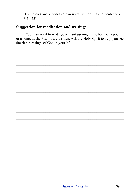His mercies and kindness are new every morning (Lamentations  $3:21-23$ .

#### **Suggestion for meditation and writing:**

You may want to write your thanksgiving in the form of a poem or a song, as the Psalms are written. Ask the Holy Spirit to help you see the rich blessings of God in your life.

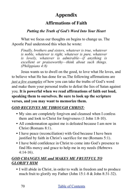# **Appendix**

## **Affirmations of Faith**

### *Putting the Truth of God's Word Into Your Heart*

What we focus our thoughts on begins to change us. The Apostle Paul understood this when he wrote:

*Finally, brothers and sisters, whatever is true, whatever is noble, whatever is right, whatever is pure, whatever is lovely, whatever is admirable—if anything is excellent or praiseworthy—think about such things. (Philippians 4:8)*

Jesus wants us to dwell on the good, to love what He loves, and to believe what He has done for us.The following affirmations are *just a few examples* of how you can take the truths of God's word and make them your personal truths to defeat the lies of Satan against you. **It is powerful when we read affirmations of faith out loud, speaking them to ourselves. Be sure to look up the scripture verses, and you may want to memorize them.**

### *GOD RECEIVES ME THROUGH CHRIST:*

- My sins are completely forgiven and cleansed when I confess them and look to Christ for forgiveness (1 John 1:8-10).
- All condemnation against me is defeated because I am now in Christ (Romans 8:1).
- I have peace (reconciliation) with God because I have been justified by faith in Christ's sacrifice for me (Romans 5:1).
- I have bold confidence in Christ to come into God's presence to find His mercy and grace to help me in my needs (Hebrews 4:14-16).

## *GOD CHANGES ME and MAKES ME FRUITFUL TO GLORIFY HIM*

• I will abide in Christ, in order to walk in freedom and to produce much fruit to glorify my Father (John 15:1-8 & John 8:31-32).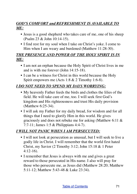## *GOD'S COMFORT and REFRESHMENT IS AVAILABLE TO ME:*

- Jesus is a good shepherd who takes care of me, one of his sheep (Psalm 23 & John 10:14-15).
- I find rest for my soul when I take on Christ's yoke. I come to Him when I am weary and burdened (Matthew 11:28-30).

### *THE PRESENCE AND POWER OF THE HOLY SPIRIT IS IN ME:*

- I am not an orphan because the Holy Spirit of Christ lives in me and is with me forever (John 14:15-18).
- I can be a witness for Christ in this world because the Holy Spirit empowers me (Acts 1:8 & 2 Timothy 1:6-8).

### *I DO NOT NEED TO SPEND MY DAYS WORRYING:*

- My heavenly Father feeds the birds and clothes the lilies of the field. He will take care of me, too. I will seek first God's kingdom and His righteousness and trust His daily provision (Matthew 6:25-34).
- I will ask my Father for my daily bread, for wisdom and for all things that I need to glorify Him in this world. He gives graciously and does not rebuke me for asking (Matthew 6:11 & 7:7-11; James 1:5 & Philippians 4:4-7).

### *I WILL NOT PANIC WHEN I AM PERSECUTED:*

- I will not look at persecution as unusual, but I will seek to live a godly life in Christ. I will remember that the world first hated Christ, my Savior (2 Timothy 3:12; John 15:18 & 1 Peter 4:12-16).
- I remember that Jesus is always with me and gives a great reward to those persecuted in His name. I also will pray for those who persecute me, as Jesus did (Matthew 28:20; Matthew 5:11-12; Matthew 5:43-48 & Luke 23:34).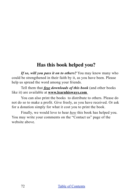## **Has this book helped you?**

*If so, will you pass it on to others?* You may know many who could be strengthened in their faith by it, as you have been. Please help us spread the word among your friends.

Tell them that *free downloads of this book* (and other books like it) are available at **www.[learnhisways.com](http://www.learnhisways.com)**

You can also print the books to distribute to others. Please do not do so to make a profit. Give freely, as you have received. Or ask for a donation simply for what it cost you to print the book.

Finally, we would love to hear *how* this book has helped you. You may write your comments on the "Contact us" page of the website above.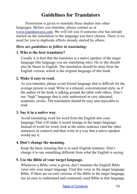# **Guidelines for Translators**

Permission is given to translate these studies into other languages. Before you translate, please contact us at [www.learnhisways.com.](http://www.learnhisways.com) We will tell you if someone else has already started on the translation in the language you have chosen. There is no need for you to duplicate efforts already started by others.

## *Here are guidelines to follow in translating:*

## **1. Who is the best translator?**

Usually it is best that the translator is a native speaker of the target language (the language you are translating into). He or she should also be fluent in English. The translation should be done from the English version, which is the original language of this book.

## **2. Make it easy to read.**

As you translate, please avoid formal language that is difficult for the average person to read. Write in a relaxed, conversational style, as if the author of the book is talking around the table with others. Don't use "high" language that is only understood in very educated, academic circles. The translation should be easy and enjoyable to read.

#### **3. Say it in a native way.**

Avoid translating word for word from the English into your language.That will make it sound strange in the target language. Instead of word for word, look at the entire sentence (and the other sentences in context) and then write in a way that a native speaker would say it.

#### **4. Don't change the meaning.**

Keep the basic meaning that is in each English sentence. Don't change it to say something different from what the English is saying.

## **5. Use the Bible of your target language.**

Whenever a Bible verse is given, don't translate the English Bible verse into your target language. Find that verse in the target language Bible. If there are several versions of the Bible in the target language, use an easy to understand and commonly used Bible in that language.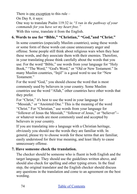There is one exception to this rule –

On Day 8, it says:

One way to translate Psalm 119:32 is: "*I run in the pathway of your commands for you have set my heart free."* With this verse, translate it from the English.

# **6. Words to use for "Bible," "Christian," "God,"and "Christ."**

In some countries (especially Muslim countries), using these words or some form of these words can cause unnecessary anger and offense. Some people still think about religious wars when they hear these words, and they associate them with their enemies. Therefore, in your translating please think carefully about the words that you use. For the word "Bible," use words from your language for "Holy Book," "The Word," "God's Word," or "Old or New Testament." In many Muslim countries, "Injil" is a good word to use for "New Testament<sup>"</sup>

For the word "God," you should choose the word that is most commonly used by believers in your country. Some Muslim countries use the word "Allah," other countries have other words that they prefer.

For "Christ," it's best to use the word in your language for "Messiah," or "Anointed One." This is the meaning of the word "Christ." For "Christian," use words from your language for "follower of Jesus the Messiah," "follower of Jesus," or "believer"- or whatever words are most commonly used and accepted by believers in your country.

If you are translating into a language with a Christian heritage, obviously you should use the words they are familiar with. In general, please try to choose words for these terms that are familiar, easily understood for their true meaning, and least likely to cause unnecessary offense.

# **7. Have someone check the translation.**

The checker should be someone who is fluent in both English and the target language. They should use the guidelines written above, and should also check for spelling and other typing errors. In the final step, the original translator and the English checker should discuss any questions in the translation and come to an agreement on the best wording.